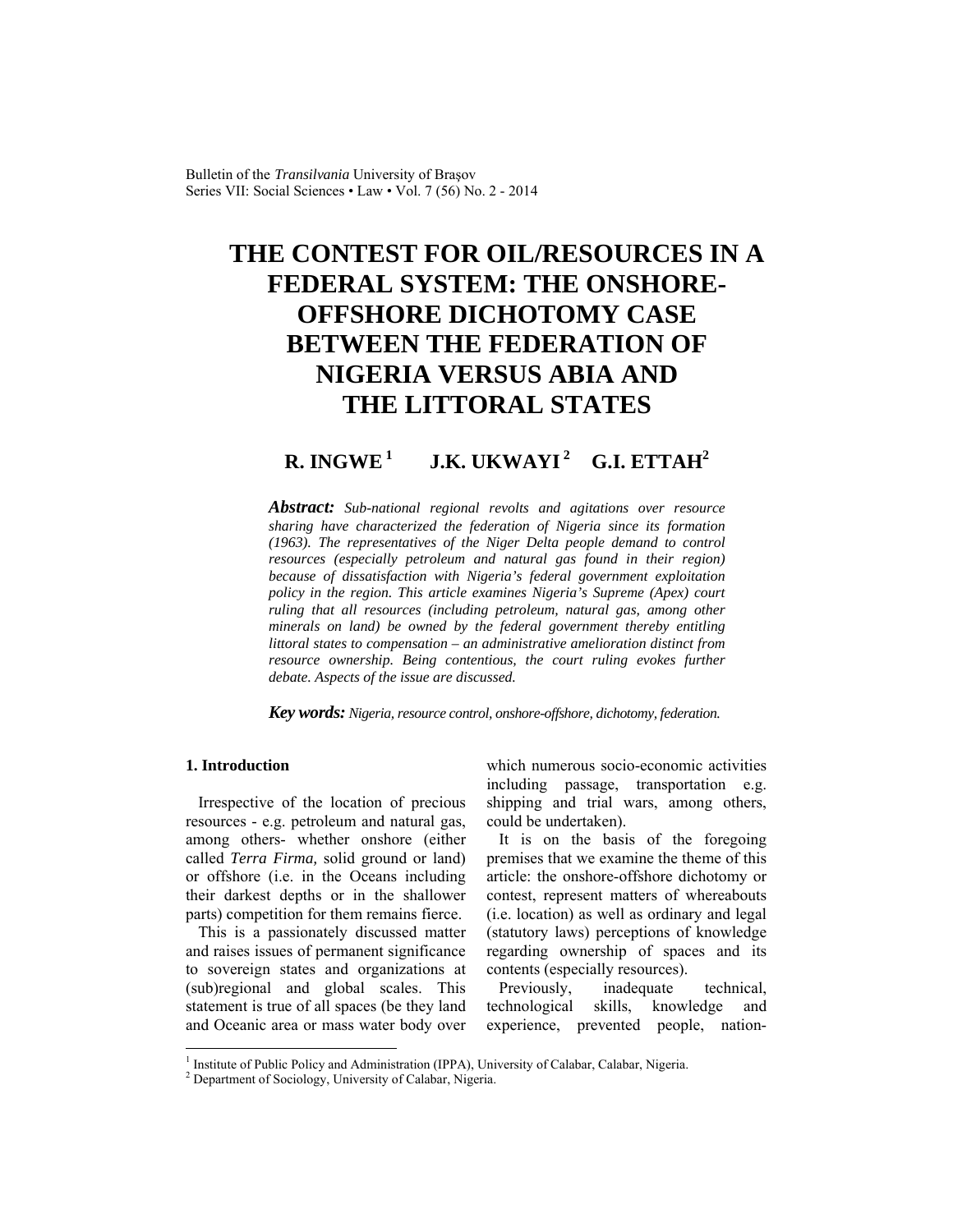Bulletin of the *Transilvania* University of Braşov Series VII: Social Sciences • Law • Vol. 7 (56) No. 2 - 2014

# **THE CONTEST FOR OIL/RESOURCES IN A FEDERAL SYSTEM: THE ONSHORE-OFFSHORE DICHOTOMY CASE BETWEEN THE FEDERATION OF NIGERIA VERSUS ABIA AND THE LITTORAL STATES**

## **R. INGWE<sup>1</sup> J.K. UKWAYI<sup>2</sup> G.I. ETTAH<sup>2</sup>**

*Abstract: Sub-national regional revolts and agitations over resource sharing have characterized the federation of Nigeria since its formation (1963). The representatives of the Niger Delta people demand to control resources (especially petroleum and natural gas found in their region) because of dissatisfaction with Nigeria's federal government exploitation policy in the region. This article examines Nigeria's Supreme (Apex) court ruling that all resources (including petroleum, natural gas, among other minerals on land) be owned by the federal government thereby entitling littoral states to compensation – an administrative amelioration distinct from resource ownership. Being contentious, the court ruling evokes further debate. Aspects of the issue are discussed.* 

*Key words: Nigeria, resource control, onshore-offshore, dichotomy, federation.*

## **1. Introduction**

Irrespective of the location of precious resources - e.g. petroleum and natural gas, among others- whether onshore (either called *Terra Firma,* solid ground or land) or offshore (i.e. in the Oceans including their darkest depths or in the shallower parts) competition for them remains fierce.

This is a passionately discussed matter and raises issues of permanent significance to sovereign states and organizations at (sub)regional and global scales. This statement is true of all spaces (be they land and Oceanic area or mass water body over which numerous socio-economic activities including passage, transportation e.g. shipping and trial wars, among others, could be undertaken).

It is on the basis of the foregoing premises that we examine the theme of this article: the onshore-offshore dichotomy or contest, represent matters of whereabouts (i.e. location) as well as ordinary and legal (statutory laws) perceptions of knowledge regarding ownership of spaces and its contents (especially resources).

Previously, inadequate technical, technological skills, knowledge and experience, prevented people, nation-

<sup>&</sup>lt;sup>1</sup> Institute of Public Policy and Administration (IPPA), University of Calabar, Calabar, Nigeria.

<sup>&</sup>lt;sup>2</sup> Department of Sociology, University of Calabar, Nigeria.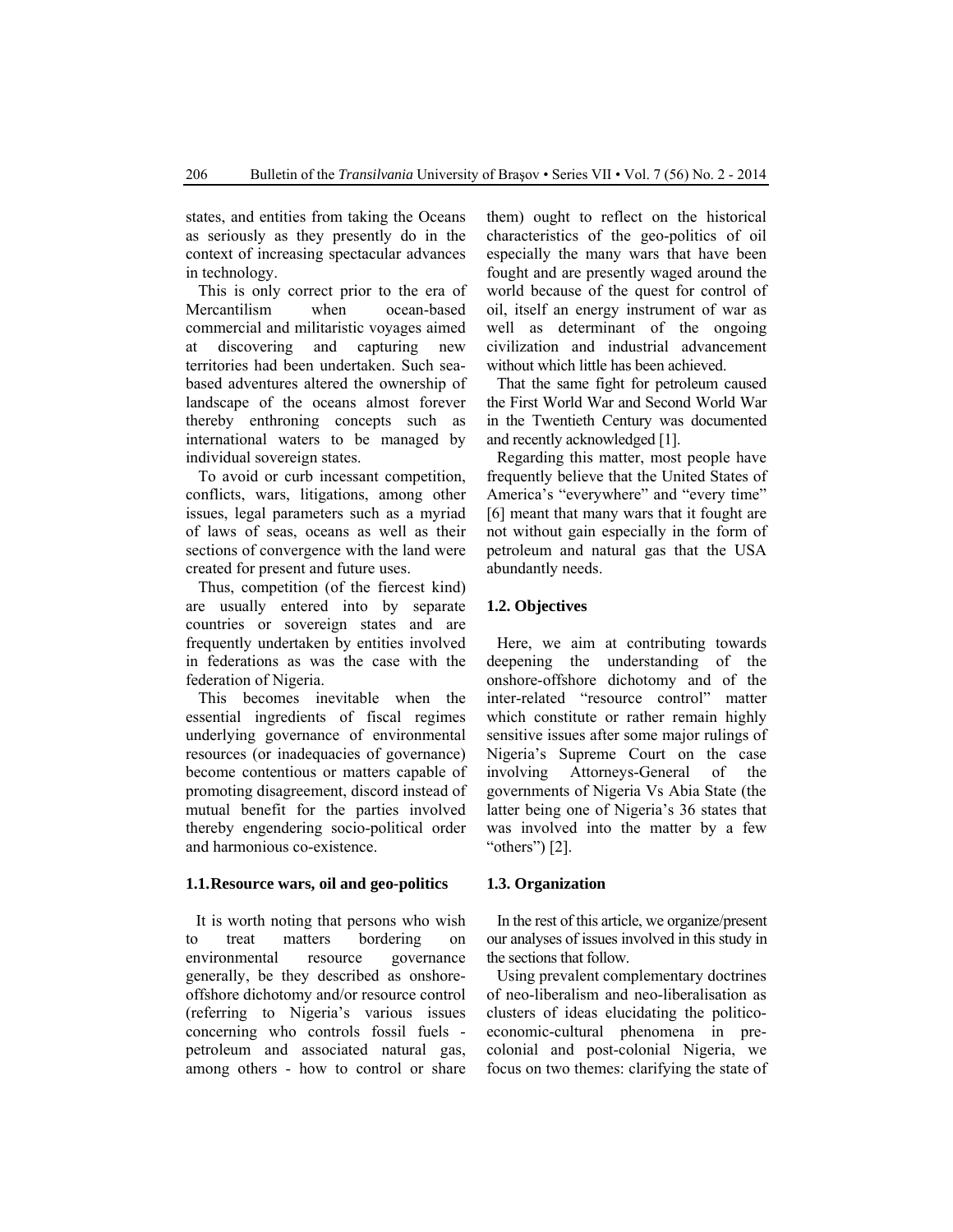states, and entities from taking the Oceans as seriously as they presently do in the context of increasing spectacular advances in technology.

This is only correct prior to the era of Mercantilism when ocean-based commercial and militaristic voyages aimed at discovering and capturing new territories had been undertaken. Such seabased adventures altered the ownership of landscape of the oceans almost forever thereby enthroning concepts such as international waters to be managed by individual sovereign states.

To avoid or curb incessant competition, conflicts, wars, litigations, among other issues, legal parameters such as a myriad of laws of seas, oceans as well as their sections of convergence with the land were created for present and future uses.

Thus, competition (of the fiercest kind) are usually entered into by separate countries or sovereign states and are frequently undertaken by entities involved in federations as was the case with the federation of Nigeria.

This becomes inevitable when the essential ingredients of fiscal regimes underlying governance of environmental resources (or inadequacies of governance) become contentious or matters capable of promoting disagreement, discord instead of mutual benefit for the parties involved thereby engendering socio-political order and harmonious co-existence.

#### **1.1.Resource wars, oil and geo-politics**

It is worth noting that persons who wish to treat matters bordering on environmental resource governance generally, be they described as onshoreoffshore dichotomy and/or resource control (referring to Nigeria's various issues concerning who controls fossil fuels petroleum and associated natural gas, among others - how to control or share them) ought to reflect on the historical characteristics of the geo-politics of oil especially the many wars that have been fought and are presently waged around the world because of the quest for control of oil, itself an energy instrument of war as well as determinant of the ongoing civilization and industrial advancement without which little has been achieved.

That the same fight for petroleum caused the First World War and Second World War in the Twentieth Century was documented and recently acknowledged [1].

Regarding this matter, most people have frequently believe that the United States of America's "everywhere" and "every time" [6] meant that many wars that it fought are not without gain especially in the form of petroleum and natural gas that the USA abundantly needs.

## **1.2. Objectives**

Here, we aim at contributing towards deepening the understanding of the onshore-offshore dichotomy and of the inter-related "resource control" matter which constitute or rather remain highly sensitive issues after some major rulings of Nigeria's Supreme Court on the case involving Attorneys-General of the governments of Nigeria Vs Abia State (the latter being one of Nigeria's 36 states that was involved into the matter by a few " $others$ " $[2]$ .

#### **1.3. Organization**

In the rest of this article, we organize/present our analyses of issues involved in this study in the sections that follow.

Using prevalent complementary doctrines of neo-liberalism and neo-liberalisation as clusters of ideas elucidating the politicoeconomic-cultural phenomena in precolonial and post-colonial Nigeria, we focus on two themes: clarifying the state of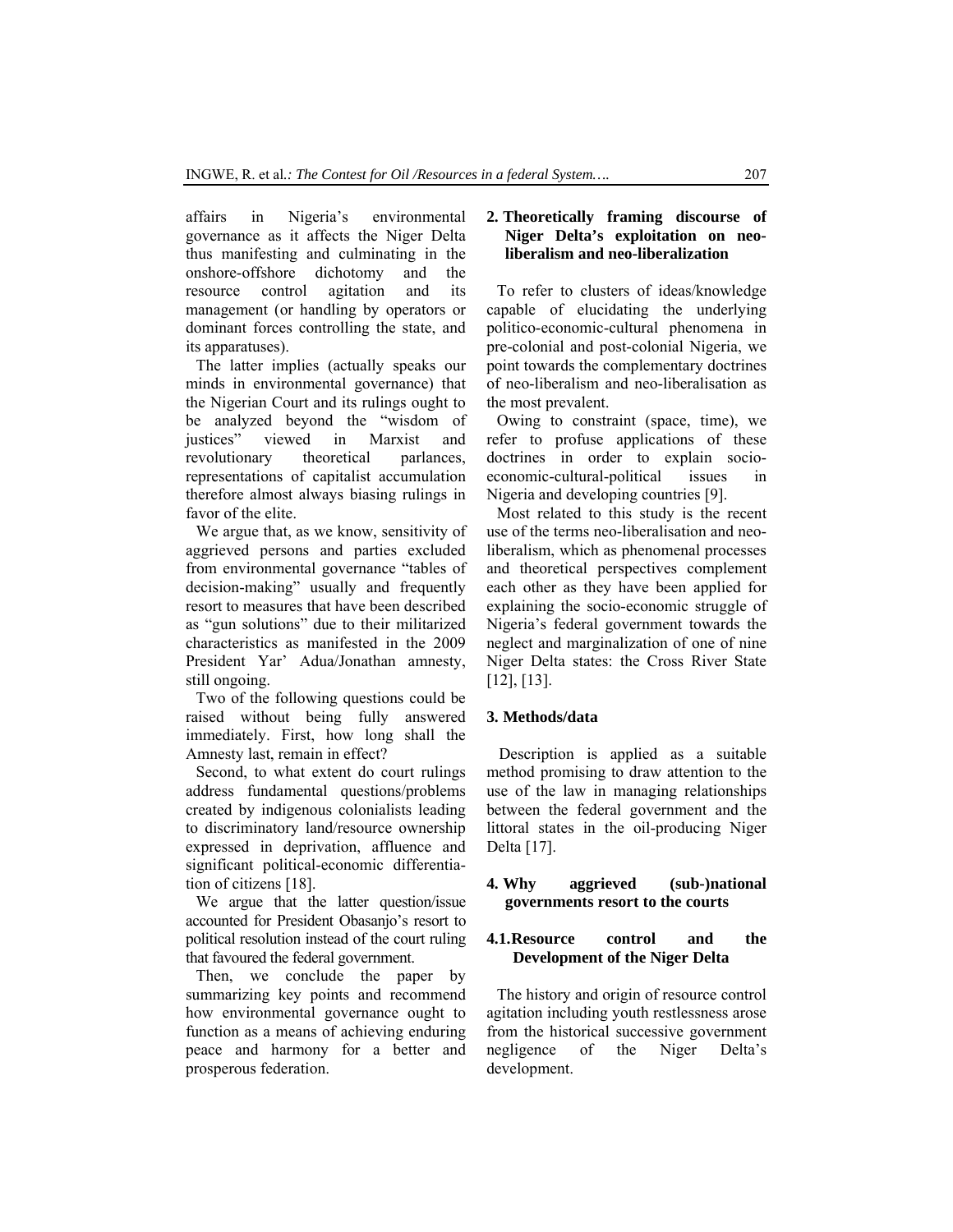affairs in Nigeria's environmental governance as it affects the Niger Delta thus manifesting and culminating in the onshore-offshore dichotomy and the resource control agitation and its management (or handling by operators or dominant forces controlling the state, and its apparatuses).

The latter implies (actually speaks our minds in environmental governance) that the Nigerian Court and its rulings ought to be analyzed beyond the "wisdom of justices" viewed in Marxist and revolutionary theoretical parlances, representations of capitalist accumulation therefore almost always biasing rulings in favor of the elite.

We argue that, as we know, sensitivity of aggrieved persons and parties excluded from environmental governance "tables of decision-making" usually and frequently resort to measures that have been described as "gun solutions" due to their militarized characteristics as manifested in the 2009 President Yar' Adua/Jonathan amnesty, still ongoing.

Two of the following questions could be raised without being fully answered immediately. First, how long shall the Amnesty last, remain in effect?

Second, to what extent do court rulings address fundamental questions/problems created by indigenous colonialists leading to discriminatory land/resource ownership expressed in deprivation, affluence and significant political-economic differentiation of citizens [18].

We argue that the latter question/issue accounted for President Obasanjo's resort to political resolution instead of the court ruling that favoured the federal government.

Then, we conclude the paper by summarizing key points and recommend how environmental governance ought to function as a means of achieving enduring peace and harmony for a better and prosperous federation.

## **2. Theoretically framing discourse of Niger Delta's exploitation on neoliberalism and neo-liberalization**

To refer to clusters of ideas/knowledge capable of elucidating the underlying politico-economic-cultural phenomena in pre-colonial and post-colonial Nigeria, we point towards the complementary doctrines of neo-liberalism and neo-liberalisation as the most prevalent.

Owing to constraint (space, time), we refer to profuse applications of these doctrines in order to explain socioeconomic-cultural-political issues in Nigeria and developing countries [9].

Most related to this study is the recent use of the terms neo-liberalisation and neoliberalism, which as phenomenal processes and theoretical perspectives complement each other as they have been applied for explaining the socio-economic struggle of Nigeria's federal government towards the neglect and marginalization of one of nine Niger Delta states: the Cross River State [12], [13].

## **3. Methods/data**

Description is applied as a suitable method promising to draw attention to the use of the law in managing relationships between the federal government and the littoral states in the oil-producing Niger Delta [17].

## **4. Why aggrieved (sub-)national governments resort to the courts**

#### **4.1.Resource control and the Development of the Niger Delta**

The history and origin of resource control agitation including youth restlessness arose from the historical successive government negligence of the Niger Delta's development.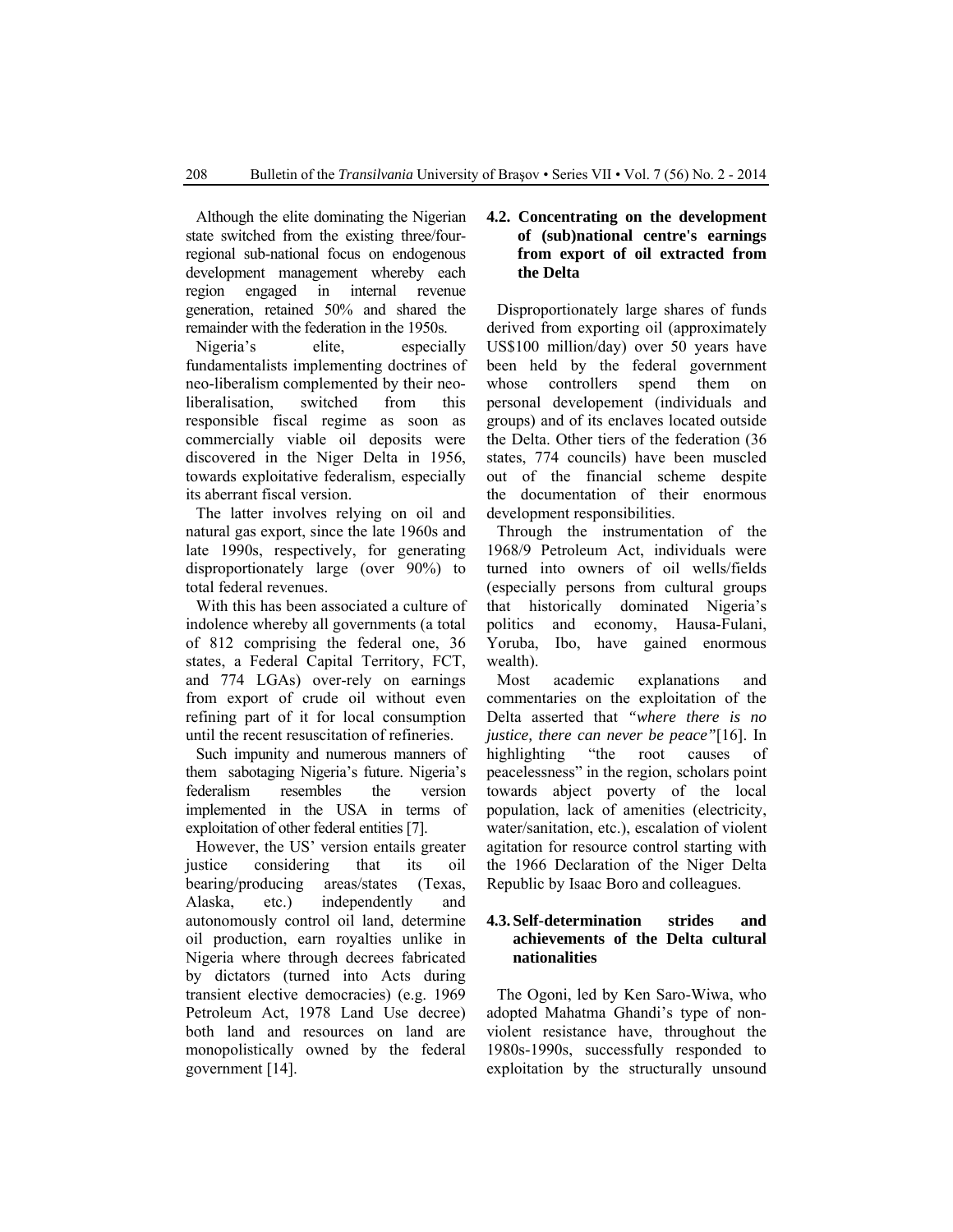Although the elite dominating the Nigerian state switched from the existing three/fourregional sub-national focus on endogenous development management whereby each region engaged in internal revenue generation, retained 50% and shared the remainder with the federation in the 1950s.

Nigeria's elite, especially fundamentalists implementing doctrines of neo-liberalism complemented by their neoliberalisation, switched from this responsible fiscal regime as soon as commercially viable oil deposits were discovered in the Niger Delta in 1956, towards exploitative federalism, especially its aberrant fiscal version.

The latter involves relying on oil and natural gas export, since the late 1960s and late 1990s, respectively, for generating disproportionately large (over 90%) to total federal revenues.

With this has been associated a culture of indolence whereby all governments (a total of 812 comprising the federal one, 36 states, a Federal Capital Territory, FCT, and 774 LGAs) over-rely on earnings from export of crude oil without even refining part of it for local consumption until the recent resuscitation of refineries.

Such impunity and numerous manners of them sabotaging Nigeria's future. Nigeria's federalism resembles the version implemented in the USA in terms of exploitation of other federal entities [7].

However, the US' version entails greater justice considering that its oil bearing/producing areas/states (Texas, Alaska, etc.) independently and autonomously control oil land, determine oil production, earn royalties unlike in Nigeria where through decrees fabricated by dictators (turned into Acts during transient elective democracies) (e.g. 1969 Petroleum Act, 1978 Land Use decree) both land and resources on land are monopolistically owned by the federal government [14].

## **4.2. Concentrating on the development of (sub)national centre's earnings from export of oil extracted from the Delta**

Disproportionately large shares of funds derived from exporting oil (approximately US\$100 million/day) over 50 years have been held by the federal government whose controllers spend them on personal developement (individuals and groups) and of its enclaves located outside the Delta. Other tiers of the federation (36 states, 774 councils) have been muscled out of the financial scheme despite the documentation of their enormous development responsibilities.

Through the instrumentation of the 1968/9 Petroleum Act, individuals were turned into owners of oil wells/fields (especially persons from cultural groups that historically dominated Nigeria's politics and economy, Hausa-Fulani, Yoruba, Ibo, have gained enormous wealth).

Most academic explanations and commentaries on the exploitation of the Delta asserted that *"where there is no justice, there can never be peace"*[16]. In highlighting "the root causes of peacelessness" in the region, scholars point towards abject poverty of the local population, lack of amenities (electricity, water/sanitation, etc.), escalation of violent agitation for resource control starting with the 1966 Declaration of the Niger Delta Republic by Isaac Boro and colleagues.

## **4.3. Self-determination strides and achievements of the Delta cultural nationalities**

The Ogoni, led by Ken Saro-Wiwa, who adopted Mahatma Ghandi's type of nonviolent resistance have, throughout the 1980s-1990s, successfully responded to exploitation by the structurally unsound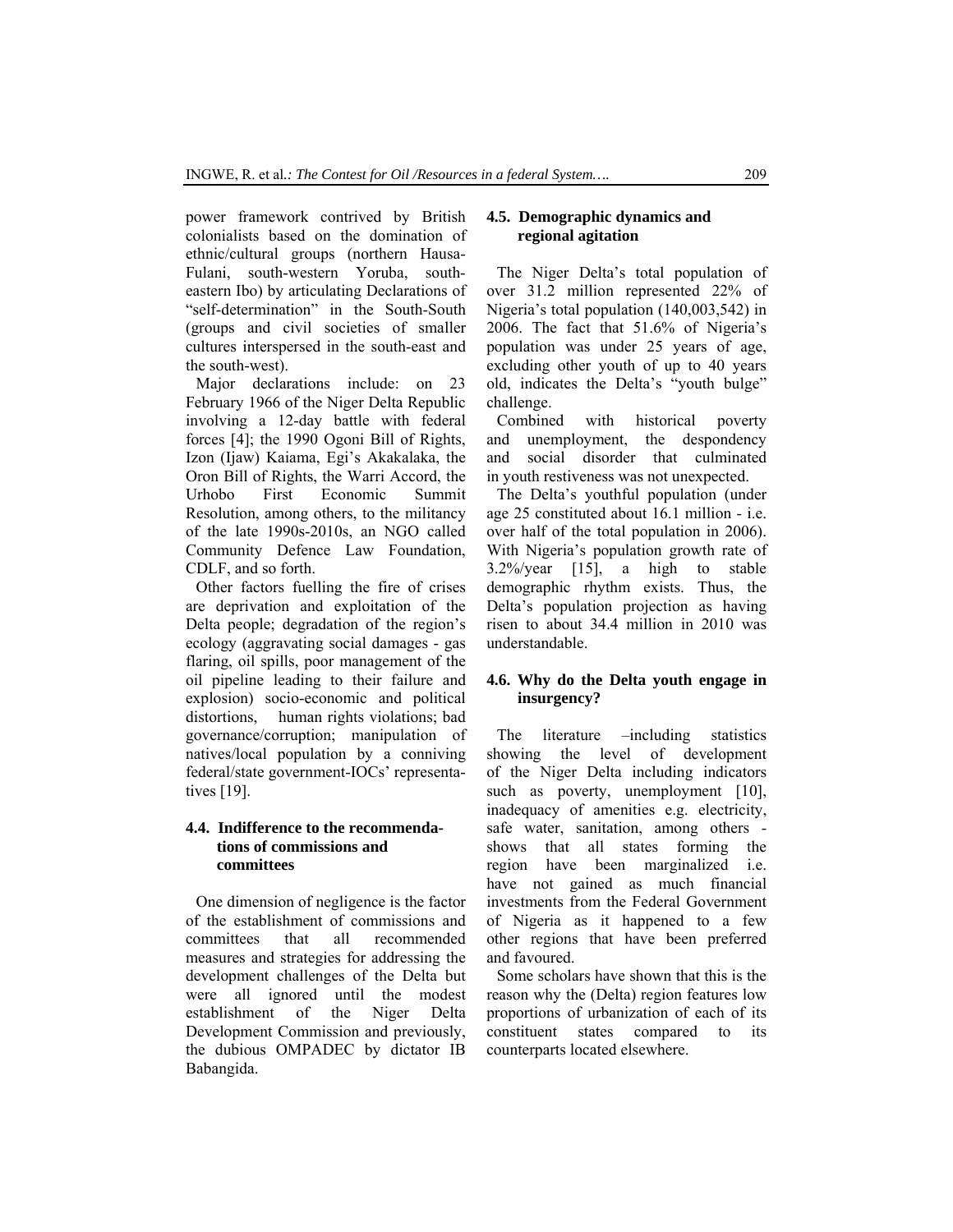power framework contrived by British colonialists based on the domination of ethnic/cultural groups (northern Hausa-Fulani, south-western Yoruba, southeastern Ibo) by articulating Declarations of "self-determination" in the South-South (groups and civil societies of smaller cultures interspersed in the south-east and the south-west).

Major declarations include: on 23 February 1966 of the Niger Delta Republic involving a 12-day battle with federal forces [4]; the 1990 Ogoni Bill of Rights, Izon (Ijaw) Kaiama, Egi's Akakalaka, the Oron Bill of Rights, the Warri Accord, the Urhobo First Economic Summit Resolution, among others, to the militancy of the late 1990s-2010s, an NGO called Community Defence Law Foundation, CDLF, and so forth.

Other factors fuelling the fire of crises are deprivation and exploitation of the Delta people; degradation of the region's ecology (aggravating social damages - gas flaring, oil spills, poor management of the oil pipeline leading to their failure and explosion) socio-economic and political distortions, human rights violations; bad governance/corruption; manipulation of natives/local population by a conniving federal/state government-IOCs' representatives [19].

## **4.4. Indifference to the recommendations of commissions and committees**

One dimension of negligence is the factor of the establishment of commissions and committees that all recommended measures and strategies for addressing the development challenges of the Delta but were all ignored until the modest establishment of the Niger Delta Development Commission and previously, the dubious OMPADEC by dictator IB Babangida.

## **4.5. Demographic dynamics and regional agitation**

The Niger Delta's total population of over 31.2 million represented 22% of Nigeria's total population (140,003,542) in 2006. The fact that 51.6% of Nigeria's population was under 25 years of age, excluding other youth of up to 40 years old, indicates the Delta's "youth bulge" challenge.

Combined with historical poverty and unemployment, the despondency and social disorder that culminated in youth restiveness was not unexpected.

The Delta's youthful population (under age 25 constituted about 16.1 million - i.e. over half of the total population in 2006). With Nigeria's population growth rate of 3.2%/year [15], a high to stable demographic rhythm exists. Thus, the Delta's population projection as having risen to about 34.4 million in 2010 was understandable.

## **4.6. Why do the Delta youth engage in insurgency?**

The literature –including statistics showing the level of development of the Niger Delta including indicators such as poverty, unemployment [10], inadequacy of amenities e.g. electricity, safe water, sanitation, among others shows that all states forming the region have been marginalized i.e. have not gained as much financial investments from the Federal Government of Nigeria as it happened to a few other regions that have been preferred and favoured.

Some scholars have shown that this is the reason why the (Delta) region features low proportions of urbanization of each of its constituent states compared to its counterparts located elsewhere.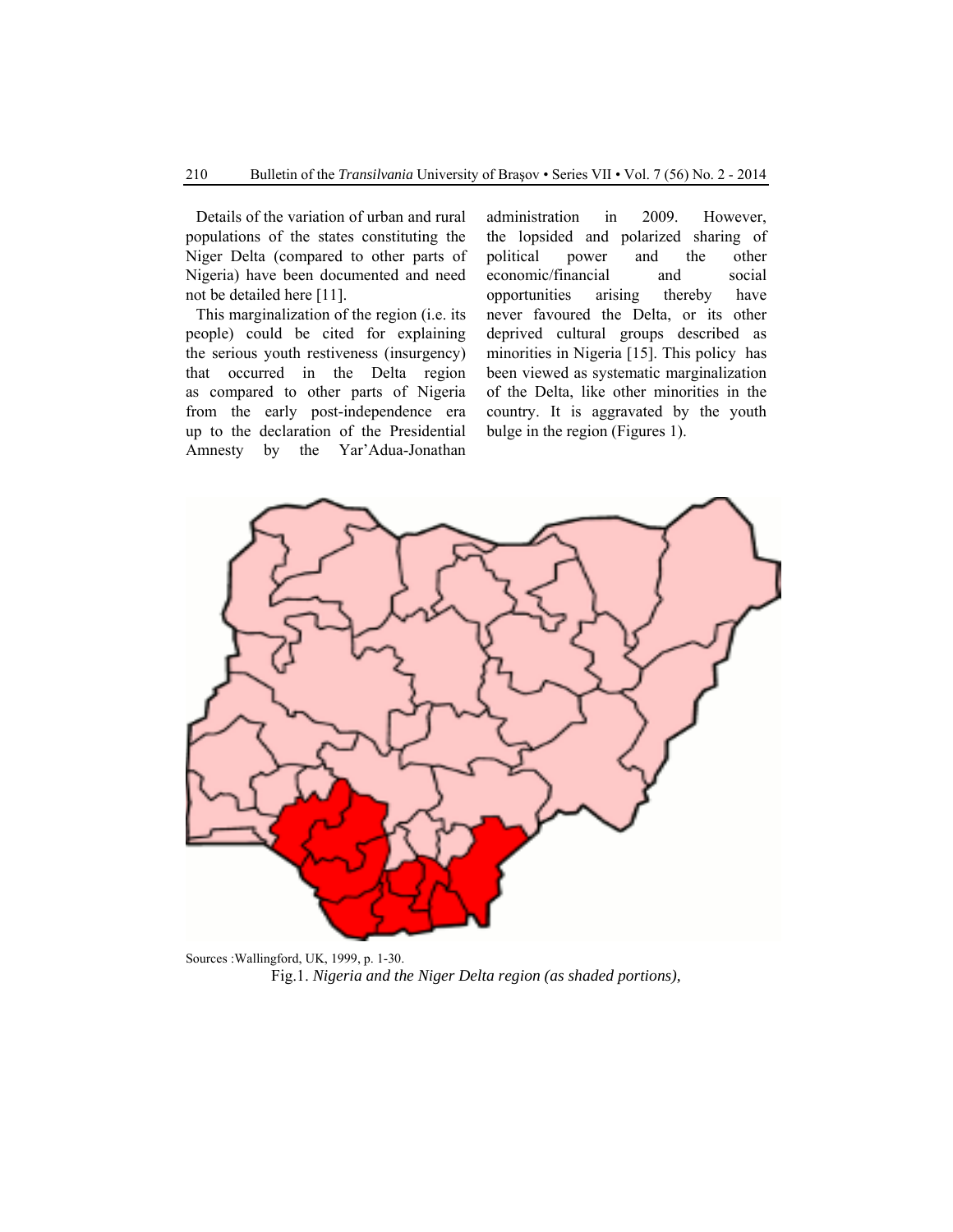Details of the variation of urban and rural populations of the states constituting the Niger Delta (compared to other parts of Nigeria) have been documented and need not be detailed here [11].

This marginalization of the region (i.e. its people) could be cited for explaining the serious youth restiveness (insurgency) that occurred in the Delta region as compared to other parts of Nigeria from the early post-independence era up to the declaration of the Presidential Amnesty by the Yar'Adua-Jonathan administration in 2009. However, the lopsided and polarized sharing of political power and the other economic/financial and social opportunities arising thereby have never favoured the Delta, or its other deprived cultural groups described as minorities in Nigeria [15]. This policy has been viewed as systematic marginalization of the Delta, like other minorities in the country. It is aggravated by the youth bulge in the region (Figures 1).



Sources :Wallingford, UK, 1999, p. 1-30. Fig.1. *Nigeria and the Niger Delta region (as shaded portions),*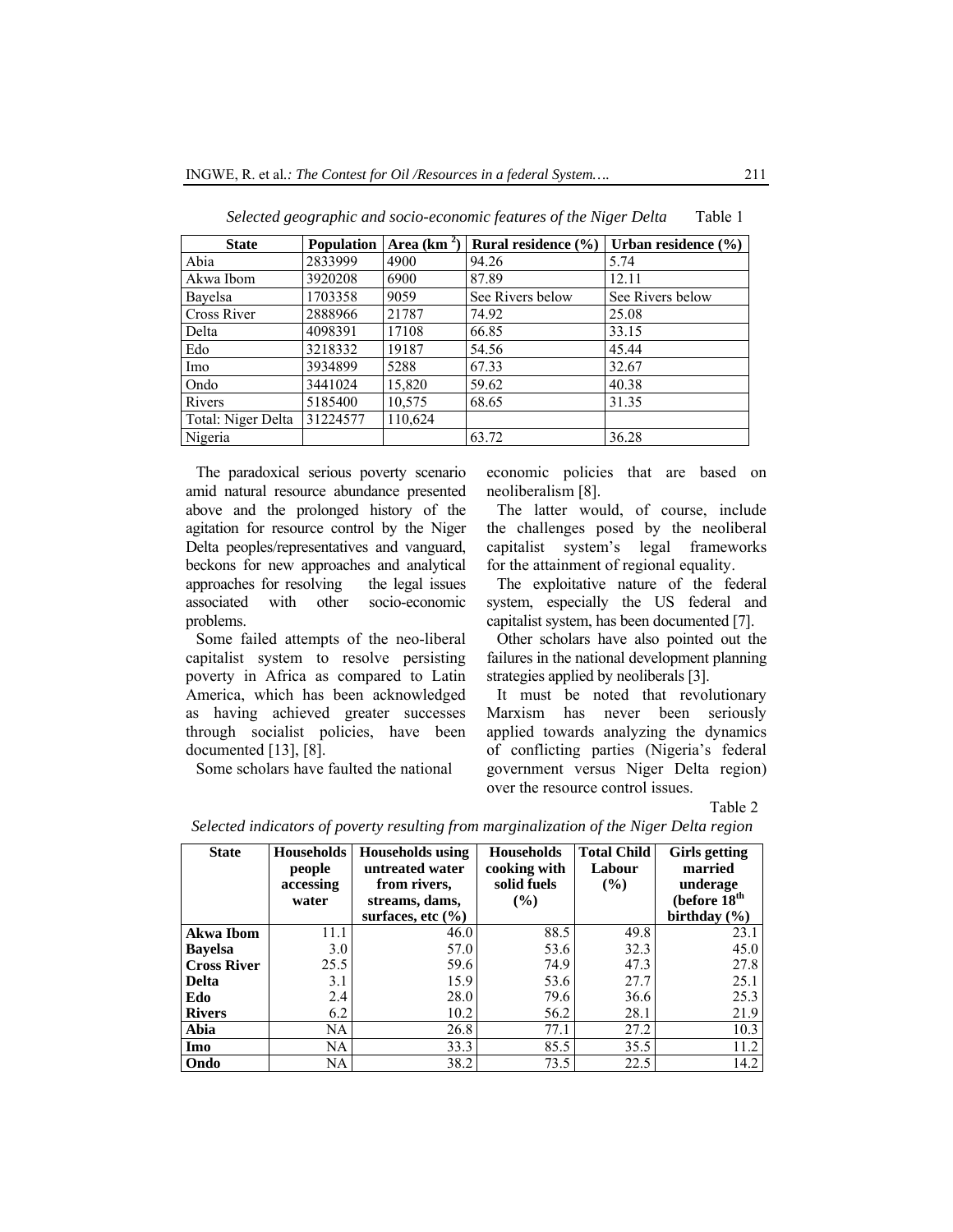| <b>State</b>       | <b>Population</b> | Area $(km2)$ | Rural residence $(\% )$ | Urban residence $(\% )$ |
|--------------------|-------------------|--------------|-------------------------|-------------------------|
| Abia               | 2833999           | 4900         | 94.26                   | 5.74                    |
| Akwa Ibom          | 3920208           | 6900         | 87.89                   | 12.11                   |
| Bayelsa            | 1703358           | 9059         | See Rivers below        | See Rivers below        |
| Cross River        | 2888966           | 21787        | 74.92                   | 25.08                   |
| Delta              | 4098391           | 17108        | 66.85                   | 33.15                   |
| Edo                | 3218332           | 19187        | 54.56                   | 45.44                   |
| Imo                | 3934899           | 5288         | 67.33                   | 32.67                   |
| Ondo               | 3441024           | 15,820       | 59.62                   | 40.38                   |
| Rivers             | 5185400           | 10,575       | 68.65                   | 31.35                   |
| Total: Niger Delta | 31224577          | 110,624      |                         |                         |
| Nigeria            |                   |              | 63.72                   | 36.28                   |

 *Selected geographic and socio-economic features of the Niger Delta* Table 1

The paradoxical serious poverty scenario amid natural resource abundance presented above and the prolonged history of the agitation for resource control by the Niger Delta peoples/representatives and vanguard, beckons for new approaches and analytical approaches for resolving the legal issues associated with other socio-economic problems.

Some failed attempts of the neo-liberal capitalist system to resolve persisting poverty in Africa as compared to Latin America, which has been acknowledged as having achieved greater successes through socialist policies, have been documented [13], [8].

Some scholars have faulted the national

economic policies that are based on neoliberalism [8].

The latter would, of course, include the challenges posed by the neoliberal capitalist system's legal frameworks for the attainment of regional equality.

The exploitative nature of the federal system, especially the US federal and capitalist system, has been documented [7].

Other scholars have also pointed out the failures in the national development planning strategies applied by neoliberals [3].

It must be noted that revolutionary Marxism has never been seriously applied towards analyzing the dynamics of conflicting parties (Nigeria's federal government versus Niger Delta region) over the resource control issues.

Table 2

| <b>State</b>       | Households<br>people<br>accessing<br>water | <b>Households using</b><br>untreated water<br>from rivers.<br>streams, dams,<br>surfaces, etc $(\% )$ | <b>Households</b><br>cooking with<br>solid fuels<br>$($ %) | <b>Total Child</b><br>Labour<br>$($ %) | <b>Girls</b> getting<br>married<br>underage<br>(before $18th$<br>birthday $(\% )$ |
|--------------------|--------------------------------------------|-------------------------------------------------------------------------------------------------------|------------------------------------------------------------|----------------------------------------|-----------------------------------------------------------------------------------|
| <b>Akwa Ibom</b>   | 11.1                                       | 46.0                                                                                                  | 88.5                                                       | 49.8                                   | 23.1                                                                              |
| <b>Bayelsa</b>     | 3.0                                        | 57.0                                                                                                  | 53.6                                                       | 32.3                                   | 45.0                                                                              |
| <b>Cross River</b> | 25.5                                       | 59.6                                                                                                  | 74.9                                                       | 47.3                                   | 27.8                                                                              |
| <b>Delta</b>       | 3.1                                        | 15.9                                                                                                  | 53.6                                                       | 27.7                                   | 25.1                                                                              |
| Edo                | 2.4                                        | 28.0                                                                                                  | 79.6                                                       | 36.6                                   | 25.3                                                                              |
| <b>Rivers</b>      | 6.2                                        | 10.2                                                                                                  | 56.2                                                       | 28.1                                   | 21.9                                                                              |
| Abia               | NA                                         | 26.8                                                                                                  | 77.1                                                       | 27.2                                   | 10.3                                                                              |
| Imo                | NA                                         | 33.3                                                                                                  | 85.5                                                       | 35.5                                   | 11.2                                                                              |
| Ondo               | NA                                         | 38.2                                                                                                  | 73.5                                                       | 22.5                                   | 14.2                                                                              |

*Selected indicators of poverty resulting from marginalization of the Niger Delta region*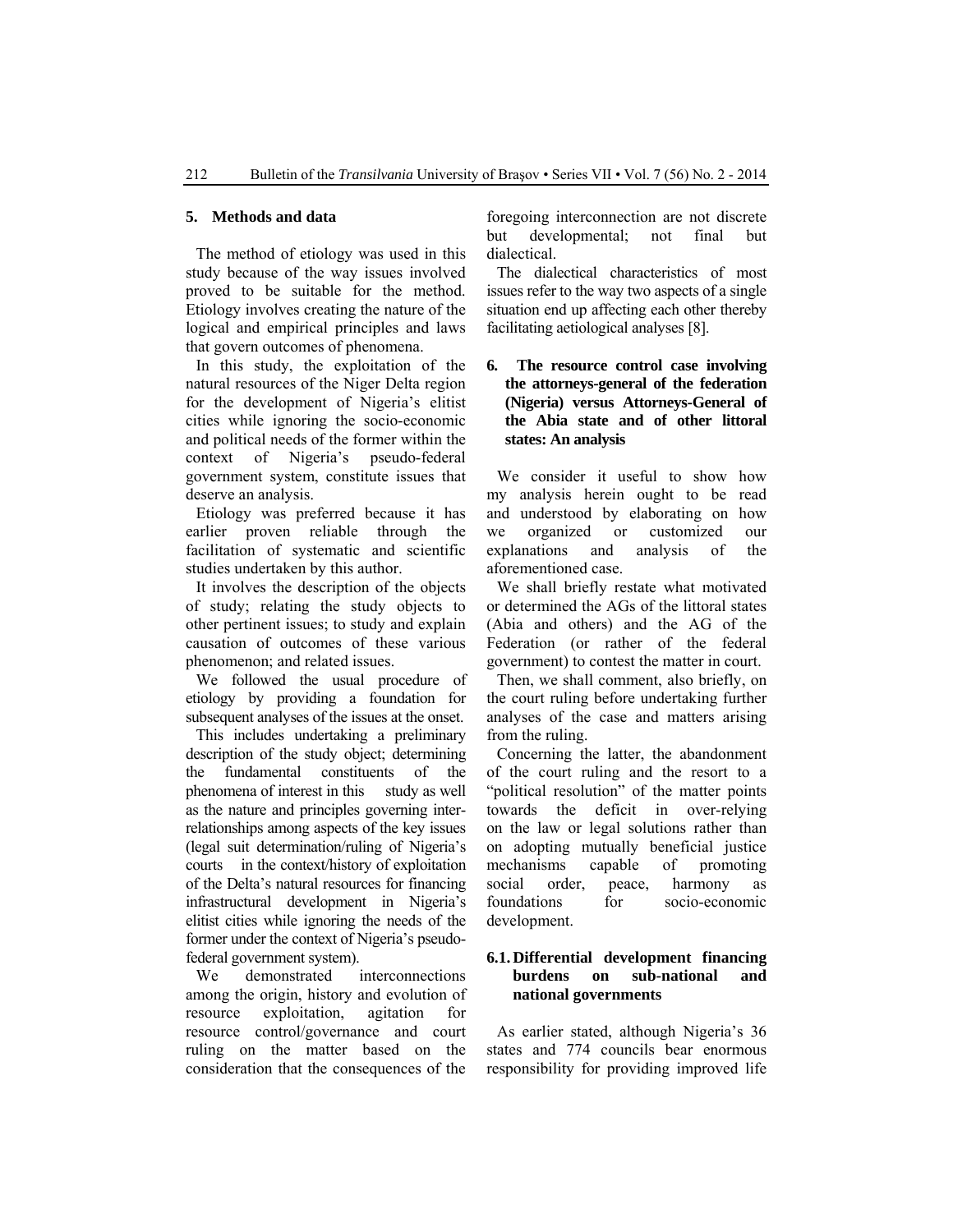#### **5. Methods and data**

The method of etiology was used in this study because of the way issues involved proved to be suitable for the method. Etiology involves creating the nature of the logical and empirical principles and laws that govern outcomes of phenomena.

In this study, the exploitation of the natural resources of the Niger Delta region for the development of Nigeria's elitist cities while ignoring the socio-economic and political needs of the former within the context of Nigeria's pseudo-federal government system, constitute issues that deserve an analysis.

Etiology was preferred because it has earlier proven reliable through the facilitation of systematic and scientific studies undertaken by this author.

It involves the description of the objects of study; relating the study objects to other pertinent issues; to study and explain causation of outcomes of these various phenomenon; and related issues.

We followed the usual procedure of etiology by providing a foundation for subsequent analyses of the issues at the onset.

This includes undertaking a preliminary description of the study object; determining the fundamental constituents of the phenomena of interest in this study as well as the nature and principles governing interrelationships among aspects of the key issues (legal suit determination/ruling of Nigeria's courts in the context/history of exploitation of the Delta's natural resources for financing infrastructural development in Nigeria's elitist cities while ignoring the needs of the former under the context of Nigeria's pseudofederal government system).

We demonstrated interconnections among the origin, history and evolution of resource exploitation, agitation for resource control/governance and court ruling on the matter based on the consideration that the consequences of the

foregoing interconnection are not discrete but developmental; not final but dialectical.

The dialectical characteristics of most issues refer to the way two aspects of a single situation end up affecting each other thereby facilitating aetiological analyses [8].

## **6. The resource control case involving the attorneys-general of the federation (Nigeria) versus Attorneys-General of the Abia state and of other littoral states: An analysis**

We consider it useful to show how my analysis herein ought to be read and understood by elaborating on how we organized or customized our explanations and analysis of the aforementioned case.

We shall briefly restate what motivated or determined the AGs of the littoral states (Abia and others) and the AG of the Federation (or rather of the federal government) to contest the matter in court.

Then, we shall comment, also briefly, on the court ruling before undertaking further analyses of the case and matters arising from the ruling.

Concerning the latter, the abandonment of the court ruling and the resort to a "political resolution" of the matter points towards the deficit in over-relying on the law or legal solutions rather than on adopting mutually beneficial justice mechanisms capable of promoting social order, peace, harmony as foundations for socio-economic development.

## **6.1. Differential development financing burdens on sub-national and national governments**

As earlier stated, although Nigeria's 36 states and 774 councils bear enormous responsibility for providing improved life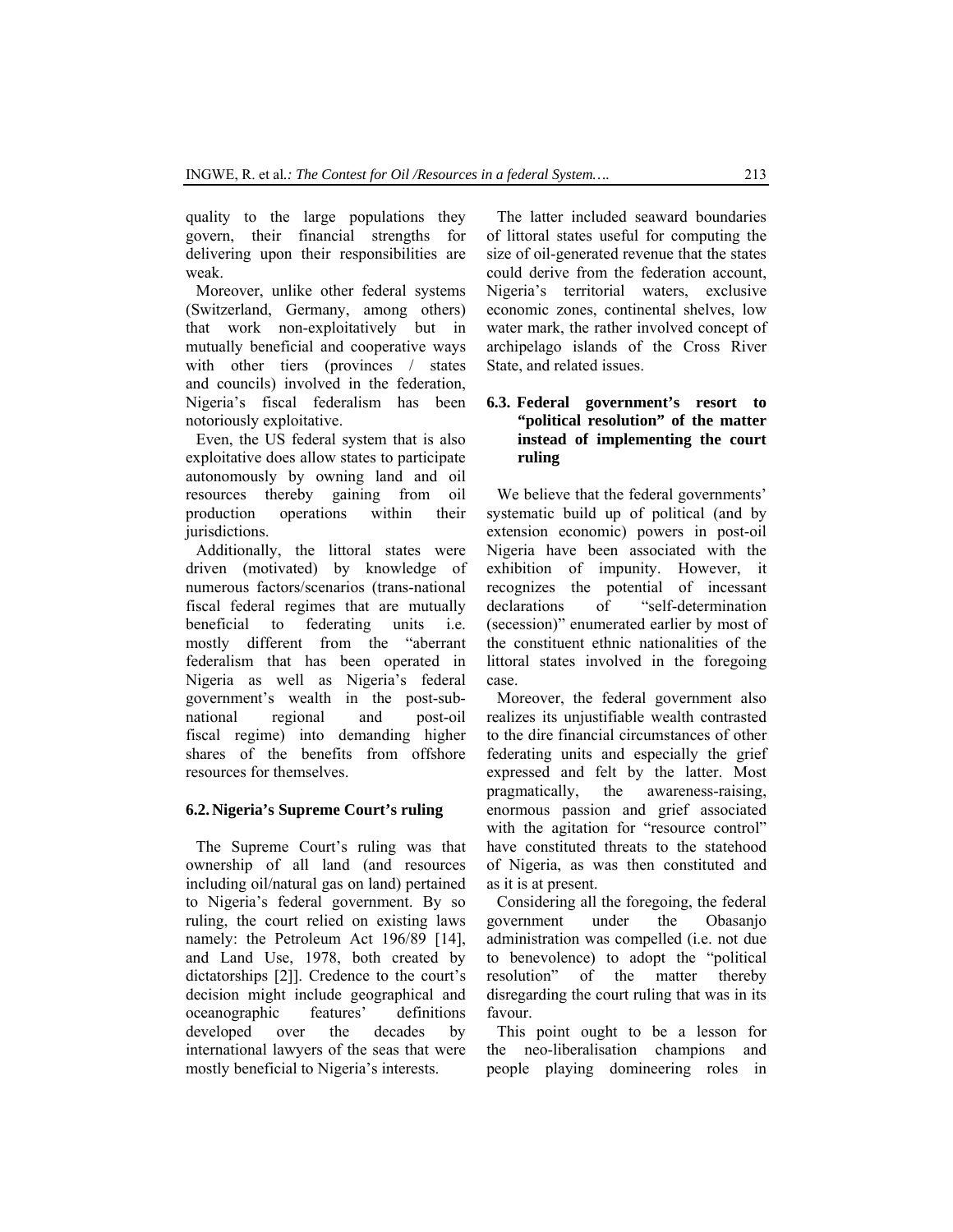quality to the large populations they govern, their financial strengths for delivering upon their responsibilities are weak.

Moreover, unlike other federal systems (Switzerland, Germany, among others) that work non-exploitatively but in mutually beneficial and cooperative ways with other tiers (provinces / states and councils) involved in the federation, Nigeria's fiscal federalism has been notoriously exploitative.

Even, the US federal system that is also exploitative does allow states to participate autonomously by owning land and oil resources thereby gaining from oil production operations within their jurisdictions.

Additionally, the littoral states were driven (motivated) by knowledge of numerous factors/scenarios (trans-national fiscal federal regimes that are mutually beneficial to federating units i.e. mostly different from the "aberrant federalism that has been operated in Nigeria as well as Nigeria's federal government's wealth in the post-subnational regional and post-oil fiscal regime) into demanding higher shares of the benefits from offshore resources for themselves.

### **6.2.Nigeria's Supreme Court's ruling**

The Supreme Court's ruling was that ownership of all land (and resources including oil/natural gas on land) pertained to Nigeria's federal government. By so ruling, the court relied on existing laws namely: the Petroleum Act 196/89 [14], and Land Use, 1978, both created by dictatorships [2]]. Credence to the court's decision might include geographical and oceanographic features' definitions developed over the decades by international lawyers of the seas that were mostly beneficial to Nigeria's interests.

The latter included seaward boundaries of littoral states useful for computing the size of oil-generated revenue that the states could derive from the federation account, Nigeria's territorial waters, exclusive economic zones, continental shelves, low water mark, the rather involved concept of archipelago islands of the Cross River State, and related issues.

## **6.3. Federal government's resort to "political resolution" of the matter instead of implementing the court ruling**

We believe that the federal governments' systematic build up of political (and by extension economic) powers in post-oil Nigeria have been associated with the exhibition of impunity. However, it recognizes the potential of incessant declarations of "self-determination (secession)" enumerated earlier by most of the constituent ethnic nationalities of the littoral states involved in the foregoing case.

Moreover, the federal government also realizes its unjustifiable wealth contrasted to the dire financial circumstances of other federating units and especially the grief expressed and felt by the latter. Most pragmatically, the awareness-raising, enormous passion and grief associated with the agitation for "resource control" have constituted threats to the statehood of Nigeria, as was then constituted and as it is at present.

Considering all the foregoing, the federal government under the Obasanjo administration was compelled (i.e. not due to benevolence) to adopt the "political resolution" of the matter thereby disregarding the court ruling that was in its favour.

This point ought to be a lesson for the neo-liberalisation champions and people playing domineering roles in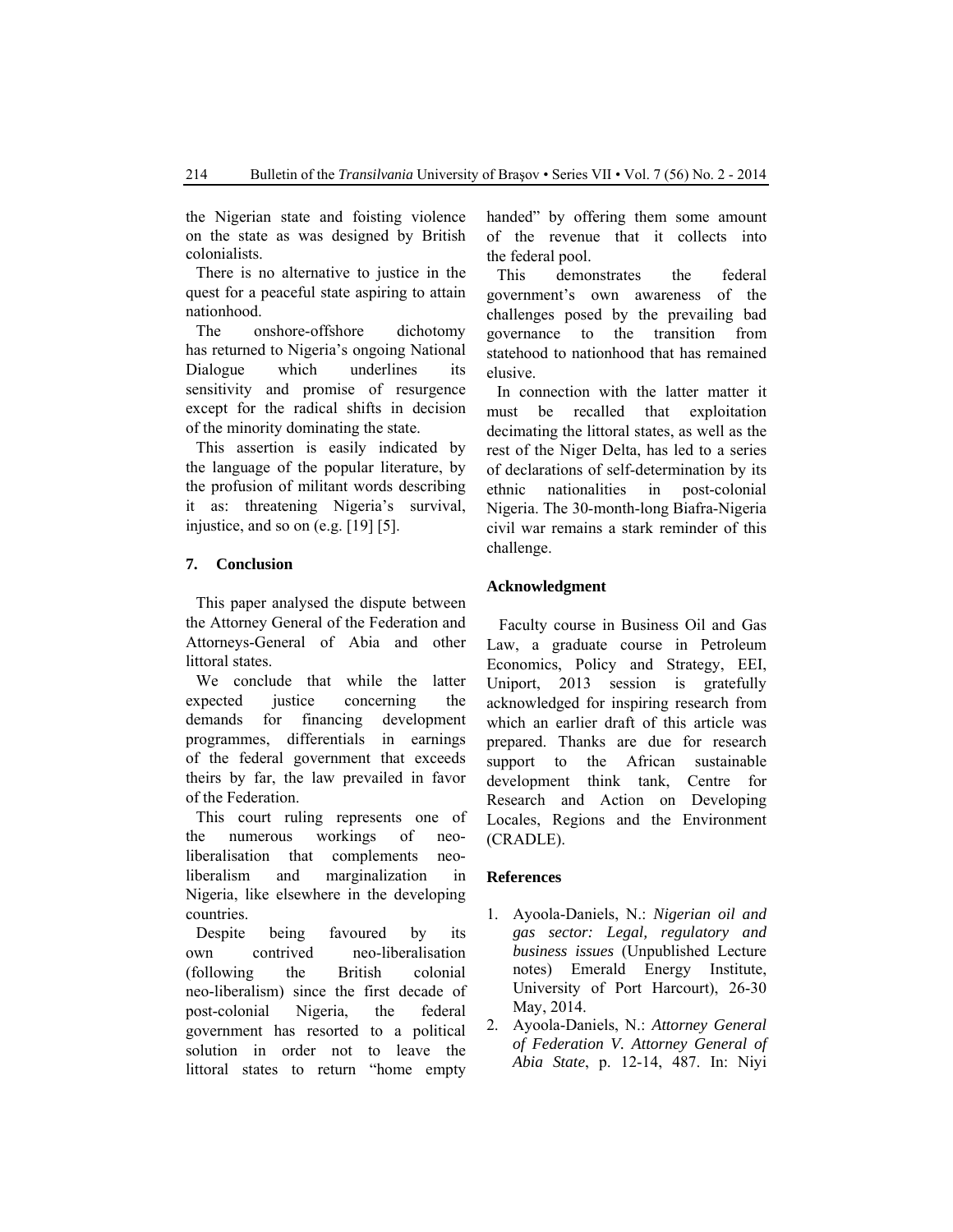the Nigerian state and foisting violence on the state as was designed by British colonialists.

There is no alternative to justice in the quest for a peaceful state aspiring to attain nationhood.

The onshore-offshore dichotomy has returned to Nigeria's ongoing National Dialogue which underlines its sensitivity and promise of resurgence except for the radical shifts in decision of the minority dominating the state.

This assertion is easily indicated by the language of the popular literature, by the profusion of militant words describing it as: threatening Nigeria's survival, injustice, and so on (e.g. [19] [5].

## **7. Conclusion**

This paper analysed the dispute between the Attorney General of the Federation and Attorneys-General of Abia and other littoral states.

We conclude that while the latter expected justice concerning the demands for financing development programmes, differentials in earnings of the federal government that exceeds theirs by far, the law prevailed in favor of the Federation.

This court ruling represents one of the numerous workings of neoliberalisation that complements neoliberalism and marginalization in Nigeria, like elsewhere in the developing countries.

Despite being favoured by its own contrived neo-liberalisation (following the British colonial neo-liberalism) since the first decade of post-colonial Nigeria, the federal government has resorted to a political solution in order not to leave the littoral states to return "home empty handed" by offering them some amount of the revenue that it collects into the federal pool.

This demonstrates the federal government's own awareness of the challenges posed by the prevailing bad governance to the transition from statehood to nationhood that has remained elusive.

In connection with the latter matter it must be recalled that exploitation decimating the littoral states, as well as the rest of the Niger Delta, has led to a series of declarations of self-determination by its ethnic nationalities in post-colonial Nigeria. The 30-month-long Biafra-Nigeria civil war remains a stark reminder of this challenge.

### **Acknowledgment**

Faculty course in Business Oil and Gas Law, a graduate course in Petroleum Economics, Policy and Strategy, EEI, Uniport, 2013 session is gratefully acknowledged for inspiring research from which an earlier draft of this article was prepared. Thanks are due for research support to the African sustainable development think tank, Centre for Research and Action on Developing Locales, Regions and the Environment (CRADLE).

#### **References**

- 1. Ayoola-Daniels, N.: *Nigerian oil and gas sector: Legal, regulatory and business issues* (Unpublished Lecture notes) Emerald Energy Institute, University of Port Harcourt), 26-30 May, 2014.
- 2. Ayoola-Daniels, N.: *Attorney General of Federation V. Attorney General of Abia State*, p. 12-14, 487. In: Niyi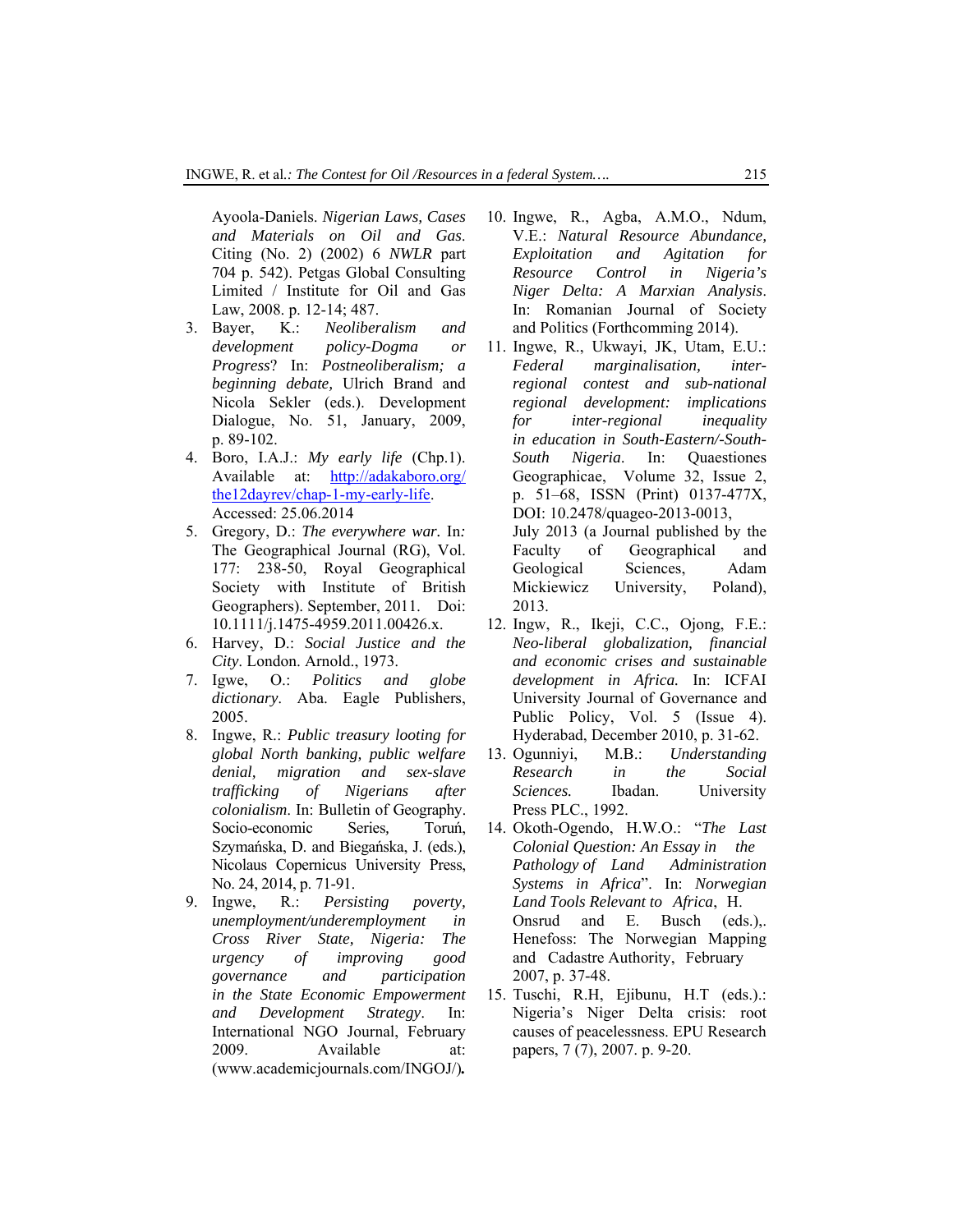Ayoola-Daniels. *Nigerian Laws, Cases and Materials on Oil and Gas*. Citing (No. 2) (2002) 6 *NWLR* part 704 p. 542). Petgas Global Consulting Limited / Institute for Oil and Gas Law, 2008. p. 12-14; 487.

- 3. Bayer, K.: *Neoliberalism and development policy-Dogma or Progress*? In: *Postneoliberalism; a beginning debate,* Ulrich Brand and Nicola Sekler (eds.). Development Dialogue, No. 51, January, 2009, p. 89-102.
- 4. Boro, I.A.J.: *My early life* (Chp.1). Available at: http://adakaboro.org/ the12dayrev/chap-1-my-early-life. Accessed: 25.06.2014
- 5. Gregory, D.: *The everywhere war.* In*:* The Geographical Journal (RG), Vol. 177: 238-50, Royal Geographical Society with Institute of British Geographers). September, 2011. Doi: 10.1111/j.1475-4959.2011.00426.x.
- 6. Harvey, D.: *Social Justice and the City*. London. Arnold., 1973.
- 7. Igwe, O.: *Politics and globe dictionary*. Aba. Eagle Publishers, 2005.
- 8. Ingwe, R.: *Public treasury looting for global North banking, public welfare denial, migration and sex-slave trafficking of Nigerians after colonialism*. In: Bulletin of Geography. Socio-economic Series*,* Toruń, Szymańska, D. and Biegańska, J. (eds.), Nicolaus Copernicus University Press, No. 24, 2014, p. 71-91.
- 9. Ingwe, R.: *Persisting poverty, unemployment/underemployment in Cross River State, Nigeria: The urgency of improving good governance and participation in the State Economic Empowerment and Development Strategy*. In: International NGO Journal, February 2009. Available at: (www.academicjournals.com/INGOJ/)*.*
- 10. Ingwe, R., Agba, A.M.O., Ndum, V.E.: *Natural Resource Abundance, Exploitation and Agitation for Resource Control in Nigeria's Niger Delta: A Marxian Analysis*. In: Romanian Journal of Society and Politics (Forthcomming 2014).
- 11. Ingwe, R., Ukwayi, JK, Utam, E.U.: *Federal marginalisation, interregional contest and sub-national regional development: implications for inter-regional inequality in education in South-Eastern/-South-South Nigeria*. In: Quaestiones Geographicae, Volume 32, Issue 2, p. 51–68, ISSN (Print) 0137-477X, DOI: 10.2478/quageo-2013-0013, July 2013 (a Journal published by the Faculty of Geographical and Geological Sciences, Adam Mickiewicz University, Poland), 2013.
- 12. Ingw, R., Ikeji, C.C., Ojong, F.E.: *Neo-liberal globalization, financial and economic crises and sustainable development in Africa.* In: ICFAI University Journal of Governance and Public Policy, Vol. 5 (Issue 4). Hyderabad, December 2010, p. 31-62.
- 13. Ogunniyi, M.B.: *Understanding Research in the Social Sciences.* Ibadan. University Press PLC., 1992.
- 14. Okoth-Ogendo, H.W.O.: "*The Last Colonial Question: An Essay in the Pathology of Land Administration Systems in Africa*". In: *Norwegian Land Tools Relevant to Africa*, H. Onsrud and E. Busch (eds.),. Henefoss: The Norwegian Mapping and Cadastre Authority, February 2007, p. 37-48.
- 15. Tuschi, R.H, Ejibunu, H.T (eds.).: Nigeria's Niger Delta crisis: root causes of peacelessness. EPU Research papers, 7 (7), 2007. p. 9-20.